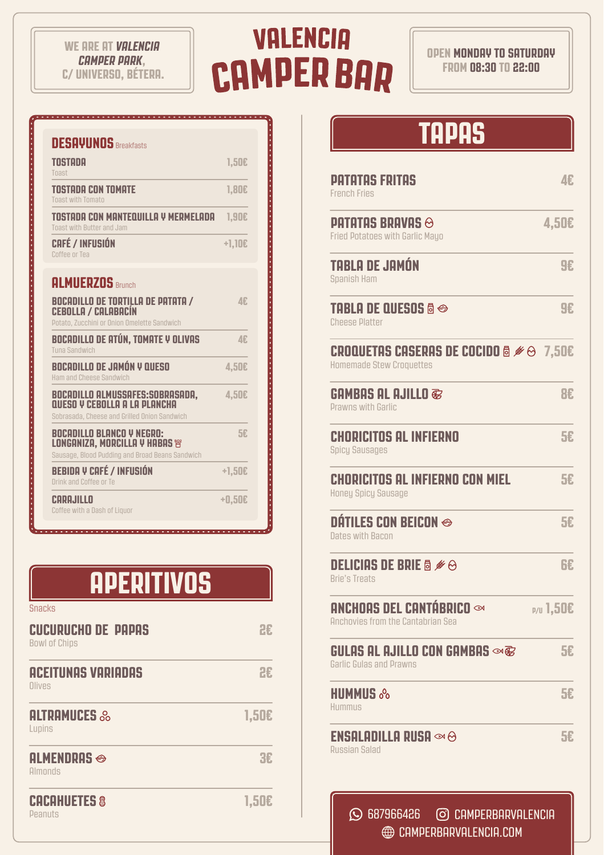#### **WE ARE AT** *VALENCIA CAMPER PARK***, C/ UNIVERSO, BÉTERA.**

# **VALENCIA CAMPER BAR**

#### **OPEN MONDAY TO SATURDAY FROM 08:30 TO 22:00**

| <b>DESAYUNOS Breakfasts</b>                                                                                              |            |
|--------------------------------------------------------------------------------------------------------------------------|------------|
| TOSTADA<br>Toast                                                                                                         | 1,50E      |
| TOSTADA CON TOMATE<br><b>Tnast with Tnmatn</b>                                                                           | 1,80€      |
| TOSTADA CON MANTEQUILLA Y MERMELADA<br><b>Toast with Butter and Jam</b>                                                  | 1,90E      |
| <b>CAFÉ / INFUSIÓN</b><br>Coffee or Tea                                                                                  | $+1,10E$   |
| <b>ALMUERZOS</b> Brunch                                                                                                  |            |
| <b>BOCADILLO DE TORTILLA DE PATATA /<br/>CEBOLLA / CALABACÍN</b><br>Potato, Zucchini or Onion Omelette Sandwich          | A€         |
| <b>BOCADILLO DE ATÚN, TOMATE Y OLIVAS</b><br>Tuna Sandwich                                                               | <b>∆</b> € |
| <b>BOCADILLO DE JAMÓN Y QUESO</b><br>Ham and Cheese Sandwich                                                             | 4,50€      |
| BOCADILLO ALMUSSAFES:SOBRASADA,<br>QUESO Y CEBOLLA A LA PLANCHA<br>Sobrasada, Cheese and Grilled Onion Sandwich          | 4,50€      |
| BOCADILLO BLANCO Y NEGRO:<br>LONGANIZA, MORCILLA V HABAS <sup>8</sup><br>Sausage, Blood Pudding and Broad Beans Sandwich | 5£         |
| BEBIDA Y CAFÉ / INFUSIÓN<br><b>Drink and Coffee or Te</b>                                                                | +1,50€     |
| <b>CARAJILLO</b><br>Coffee with a Dash of Liquor                                                                         | $+0,50E$   |

## **APERITIVOS**

**Snacks** 

| <b>CUCURUCHO DE PAPAS</b><br><b>Bowl of Chips</b> | HE.       |
|---------------------------------------------------|-----------|
| <b>ACEITUNAS VARIADAS</b><br>Olives               | <b>2£</b> |
| <b>ALTRAMUCES &amp;</b><br>Lupins                 | 1,50E     |
| ALMENDRAS $\oplus$<br>Almonds                     | З£        |
| <b>CACAHUETES<sup>8</sup></b><br>Peanuts          | 1,50E     |

## **TAPAS**

| <b>PATATAS FRITAS</b><br><b>French Fries</b>                                                                              | 4E               |
|---------------------------------------------------------------------------------------------------------------------------|------------------|
| <b>PATATAS BRAVAS <math>\odot</math></b><br><b>Fried Potatoes with Garlic Mayo</b>                                        | 4,50€            |
| <b>TABLA DE JAMÓN</b><br><b>Spanish Ham</b>                                                                               | 9£               |
| TABLA DE QUESOS $\bar{\mathbb{G}} \oplus$<br><b>Cheese Platter</b>                                                        | 9£               |
| <b>CROQUETAS CASERAS DE COCIDO &amp; <math>\mathscr{B} \otimes 7,50\epsilon</math></b><br><b>Homemade Stew Croquettes</b> |                  |
| GAMBAS AL AJILLO &<br><b>Drawns with Garlic</b>                                                                           | 8£               |
| <b>CHORICITOS AL INFIERNO</b><br><b>Spicy Sausages</b>                                                                    | 5£               |
| <b>CHORICITOS AL INFIERNO CON MIEL</b><br><b>Honey Spicy Sausage</b>                                                      | 5£               |
| DÁTILES CON BEICON $\oplus$<br>Dates with Bacon                                                                           | 5£               |
| <b>DELICIAS DE BRIE 6 <math>\not\!\in\!\otimes</math></b><br><b>Brie's Treats</b>                                         | 6£               |
| ANCHOAS DEL CANTÁBRICO ∞<br>Anchovies from the Cantabrian Sea                                                             | <b>P/U 1,50€</b> |
| GULAS AL AJILLO CON GAMBAS $\otimes$ B<br><b>Garlic Gulas and Prawns</b>                                                  | 5£               |
| HUMMUS of<br><b>Hummus</b>                                                                                                | 5£               |
| ENSALADILLA RUSA $\infty$ $\odot$<br><b>Russian Salad</b>                                                                 | 5£               |

**687966426 © CAMPERBARVALENCIA ED CAMPERBARVALENCIA.COM**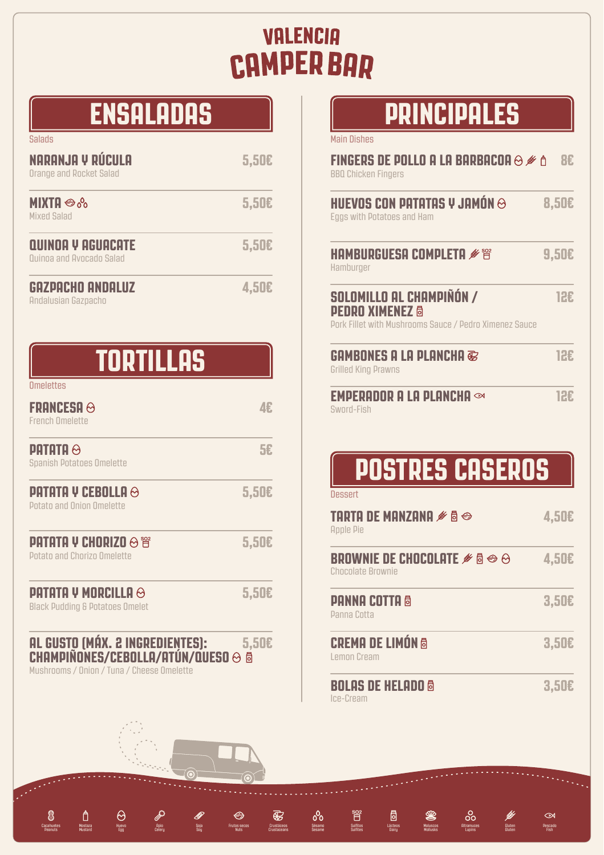## **VALENCIA CAMPER BAR**

Cacahuetes Mostaza Huevo Apio Soja Frutos aecos Crustáceos Sésamo Sulfitos Lácteos Moluscos Altramuces Gluten Pescad<br>Peanuts Mustard Egg Celery Soy Nuts Crustaceans Sesame Sulfites Dairy Mollusks Lupins Gluten Gluten Fish

 $\overline{\mathcal{L}}$ 

## **ENSALADAS**

| Salads                                               |       | <b>Main Dishes</b>                   |
|------------------------------------------------------|-------|--------------------------------------|
| NARANJA Y RÚCULA<br>Orange and Rocket Salad          | 5,50E | <b>FINGERS</b><br><b>BBO Chicken</b> |
| <b>MIXTA</b> $\otimes$ $\otimes$<br>Mixed Salad      | 5,50E | <b>HUEVOS</b><br>Eggs with Po        |
| <b>QUINOA Y AGUACATE</b><br>Quinoa and Avocado Salad | 5,50E | <b>HAMBUR</b><br>Hamburger           |
| <b>GAZPACHO ANDALUZ</b><br>Andalusian Gazpacho       | 4,50€ | <b>SOLOMIL</b>                       |

|  |  | TORTILLA | п. |  |
|--|--|----------|----|--|
|  |  |          |    |  |

| <b>Omelettes</b>                                                               |            |
|--------------------------------------------------------------------------------|------------|
| <b>FRANCESA</b> $\odot$<br><b>French Omelette</b>                              | 4E         |
| <b>PATATA <math>\odot</math></b><br><b>Spanish Potatoes Omelette</b>           | 5£         |
| <b>PATATA Y CEBOLLA <math>\odot</math></b><br><b>Potato and Onion Omelette</b> | 5,50E      |
| <b>PATATA Y CHORIZO</b> $\Theta$ is<br>Potato and Chorizo Omelette             | 5,50E      |
| PATATA Y MORCILLA $\odot$<br><b>Black Pudding &amp; Potatoes Omelet</b>        | 5,50E      |
| AL GUSTO (MÁX. 2 INGREDIENTES):<br>ଇ                                           | 5,50E<br>咼 |

**CHAMPINUNES/CEBULLH/HIUN/UUESU**  $\heartsuit$  **0** Mushrooms / Onion / Tuna / Cheese Omelette

Ô

## **PRINCIPALES**

**Dessert** 

| FINGERS DE POLLO A LA BARBACOA $\Theta \mathscr{I}$ $\hat{0}$<br><b>BBQ Chicken Fingers</b>                      | 8£    |
|------------------------------------------------------------------------------------------------------------------|-------|
| HUEVOS CON PATATAS Y JAMÓN $\odot$<br>Eggs with Potatoes and Ham                                                 | 8,50€ |
| HAMBURGUESA COMPLETA $\mathscr{I}^{\otimes 2}$<br>Hamburger                                                      | 9,50E |
| SOLOMILLO AL CHAMPIÑÓN /<br><b>PEDRO XIMENEZ &amp;</b><br>Pork Fillet with Mushrooms Sauce / Pedro Ximenez Sauce | 12£   |
| GAMBONES A LA PLANCHA $\bm{\overline{\bm{\varepsilon}}}$<br>Grilled King Prawns                                  | 12£   |
| EMPERADOR A LA PLANCHA $\infty$<br>Sword-Fish                                                                    | 12£   |

# **POSTRES CASEROS**

| <b>TARTA DE MANZANA</b> $\mathscr{I}$ & $\oplus$<br>Apple Pie                                                                                                      | 4,50€ |
|--------------------------------------------------------------------------------------------------------------------------------------------------------------------|-------|
| <b>BROWNIE DE CHOCOLATE <math>\mathscr{I} \mathbin{\widehat{\otimes}} \mathord{\ominus} \mathord{\ominus} \mathord{\ominus}</math></b><br><b>Chocolate Brownie</b> | 4,50€ |
| <b>PANNA COTTA 6</b><br>Panna Cotta                                                                                                                                | 3,50E |
| <b>CREMA DE LIMÓN 6</b><br>Lemon Cream                                                                                                                             | 3,50E |
| <b>BOLAS DE HELADO A</b><br>Ice-Cream                                                                                                                              | 3,50E |

 $\textcolor{blue}{\textcircled{\bowtie}}$